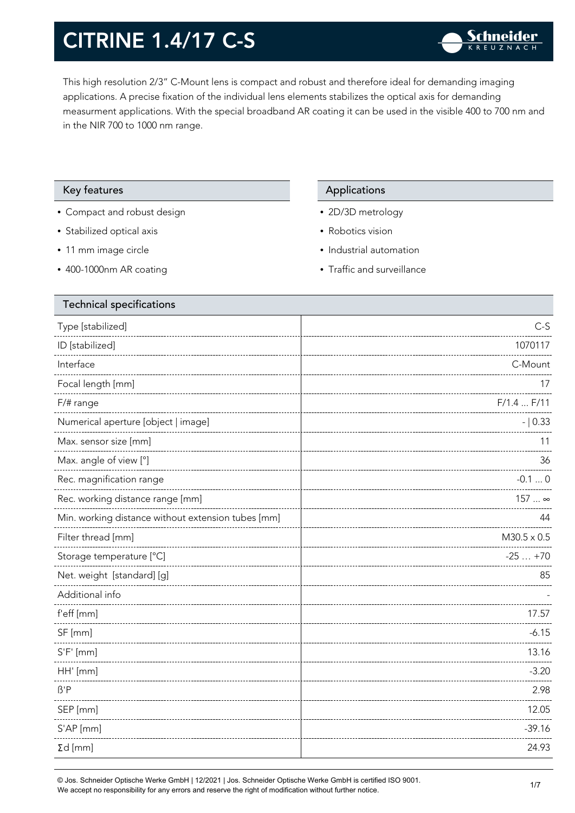This high resolution 2/3" C-Mount lens is compact and robust and therefore ideal for demanding imaging applications. A precise fixation of the individual lens elements stabilizes the optical axis for demanding measurment applications. With the special broadband AR coating it can be used in the visible 400 to 700 nm and in the NIR 700 to 1000 nm range.

#### Key features **Applications** Applications

- Compact and robust design
- Stabilized optical axis
- 11 mm image circle
- 400-1000nm AR coating

- 2D/3D metrology
- Robotics vision
- Industrial automation
- Traffic and surveillance

| <b>Technical specifications</b>                    |                    |
|----------------------------------------------------|--------------------|
| Type [stabilized]                                  | $C-S$              |
| ID [stabilized]                                    | 1070117            |
| Interface                                          | C-Mount            |
| Focal length [mm]                                  | 17                 |
| $F/\#$ range                                       | $F/1.4$ $F/11$     |
| Numerical aperture [object   image]                | $- 0.33$           |
| Max. sensor size [mm]                              | 11                 |
| Max. angle of view [°]                             | 36                 |
| Rec. magnification range                           | $-0.10$            |
| Rec. working distance range [mm]                   | 157  ∞             |
| Min. working distance without extension tubes [mm] | 44                 |
| Filter thread [mm]                                 | $M30.5 \times 0.5$ |
| Storage temperature [°C]                           | $-25+70$           |
| Net. weight [standard] [g]                         | 85                 |
| Additional info                                    |                    |
| f'eff [mm]                                         | 17.57              |
| SF [mm]                                            | $-6.15$            |
| $S'F'$ [mm]                                        | 13.16              |
| HH' [mm]                                           | $-3.20$            |
| $\beta$ 'P                                         | 2.98               |
| SEP [mm]                                           | 12.05              |
| S'AP [mm]                                          | $-39.16$           |
| $\Sigma d$ [mm]                                    | 24.93              |
|                                                    |                    |

© Jos. Schneider Optische Werke GmbH | 12/2021 | Jos. Schneider Optische Werke GmbH is certified ISO 9001. We accept no responsibility for any errors and reserve the right of modification without further notice.<br>We accept no responsibility for any errors and reserve the right of modification without further notice.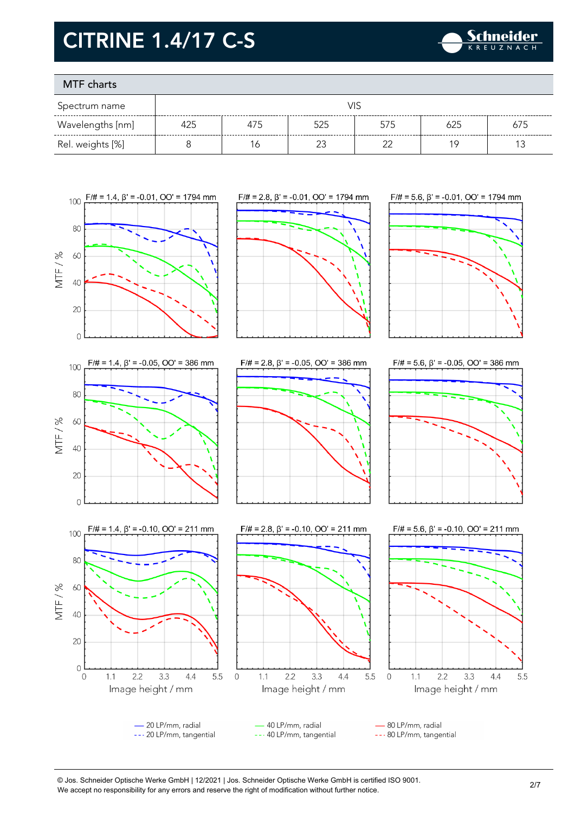

### MTF charts

| Spectrum name    |     |     |     |        |     |     |
|------------------|-----|-----|-----|--------|-----|-----|
| Wavelengths [nm] | 425 | 4/5 | 525 | 575    | 625 | 675 |
| Rel. weights [%] |     |     |     | $\sim$ |     |     |



© Jos. Schneider Optische Werke GmbH | 12/2021 | Jos. Schneider Optische Werke GmbH is certified ISO 9001. We accept no responsibility for any errors and reserve the right of modification without further notice.<br>We accept no responsibility for any errors and reserve the right of modification without further notice.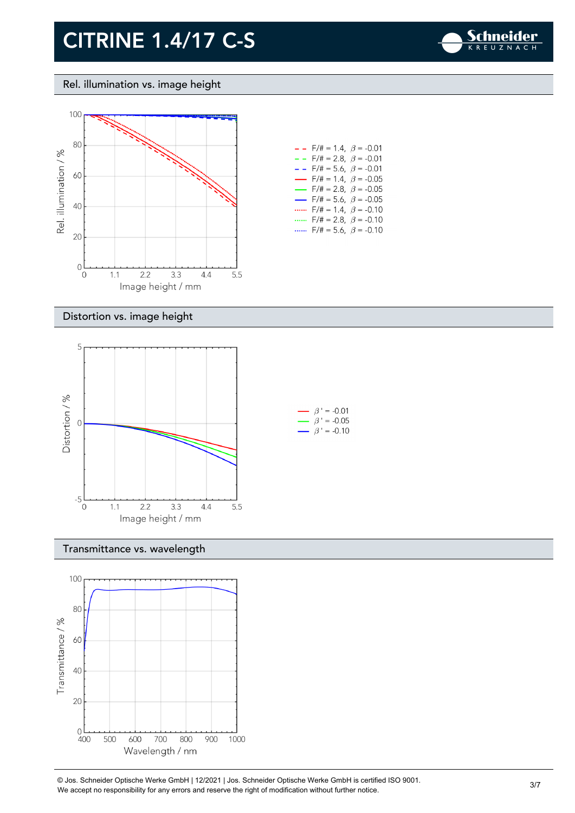

Rel. illumination vs. image height



| $-$ - F/# = 1.4, $\beta$ = -0.01         |
|------------------------------------------|
| $- -$ F/# = 2.8, $\beta$ = -0.01         |
| $- -$ F/# = 5.6, $\beta$ = -0.01         |
| $\rightarrow$ F/# = 1.4, $\beta$ = -0.05 |
| $\rightarrow$ F/# = 2.8, $\beta$ = -0.05 |
| $\rightarrow$ F/# = 5.6, $\beta$ = -0.05 |
| $F/\ddot{t} = 1.4$ , $\beta = -0.10$     |
| F/# = 2.8, $\beta$ = -0.10               |
| $F/\ddot{=} = 5.6$ , $\beta = -0.10$     |

#### Distortion vs. image height



#### Transmittance vs. wavelength



© Jos. Schneider Optische Werke GmbH | 12/2021 | Jos. Schneider Optische Werke GmbH is certified ISO 9001. We accept no responsibility for any errors and reserve the right of modification without further notice.<br>We accept no responsibility for any errors and reserve the right of modification without further notice.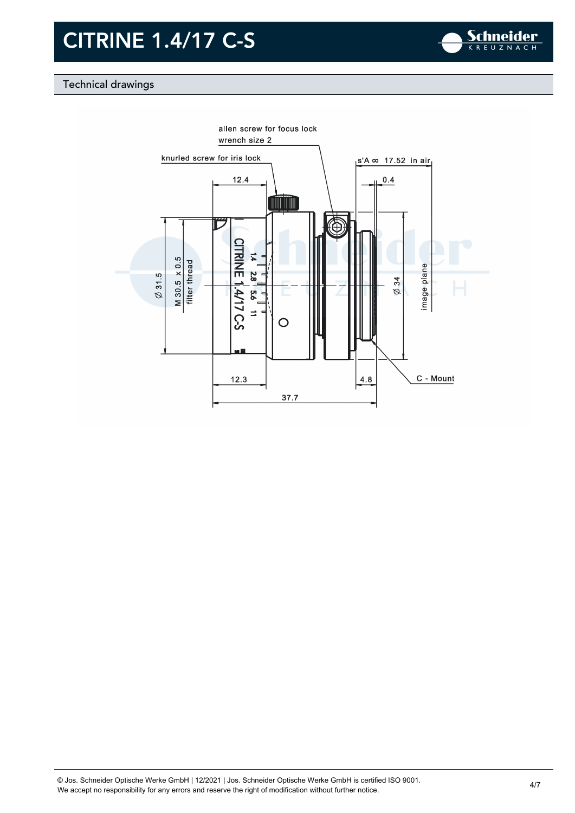

### Technical drawings

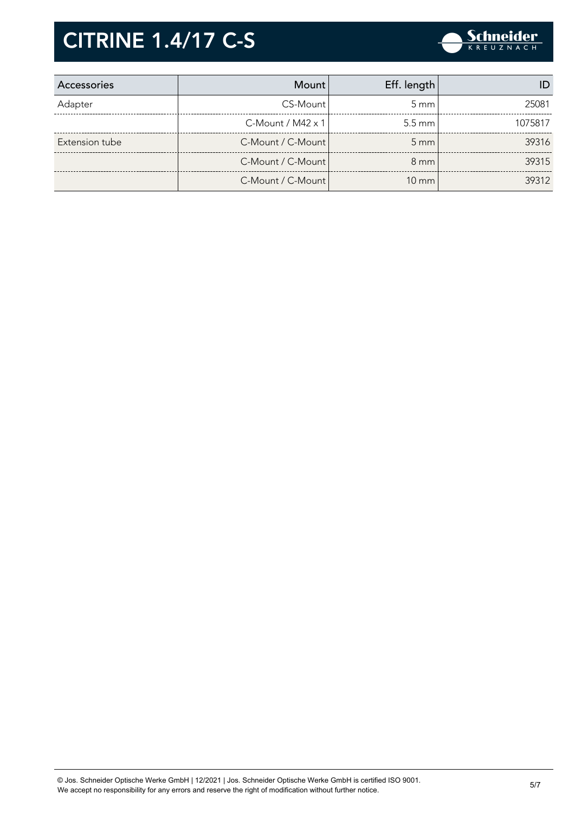

| Accessories    | <b>Mount</b>         | Eff. length      |         |
|----------------|----------------------|------------------|---------|
| Adapter        | CS-Mount             | $5 \text{ mm}$   | 25081   |
|                | $C$ -Mount / M42 x 1 | $5.5 \text{ mm}$ | 1075817 |
| Extension tube | C-Mount / C-Mount    | $5 \text{ mm}$   | 39316   |
|                | C-Mount / C-Mount    | $8 \text{ mm}$   | 39315   |
|                | C-Mount / C-Mount    | $10 \text{ mm}$  | 39312   |